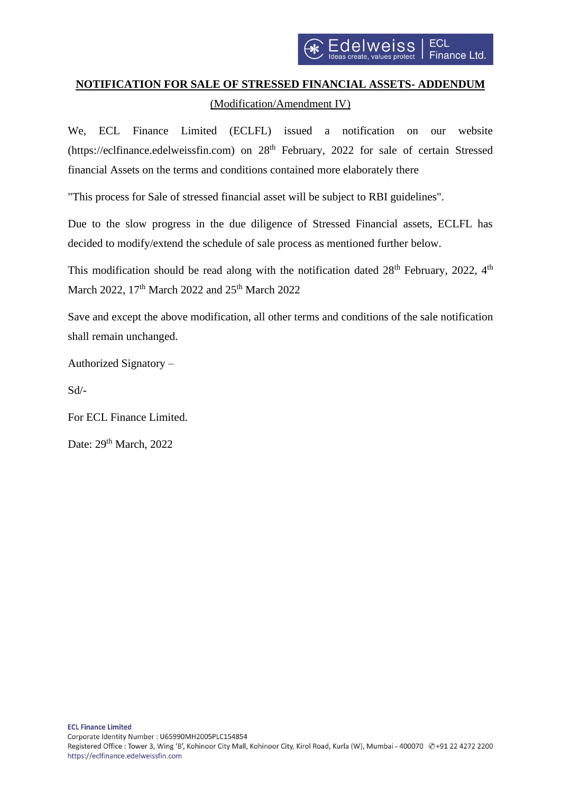## **NOTIFICATION FOR SALE OF STRESSED FINANCIAL ASSETS- ADDENDUM** (Modification/Amendment IV)

We, ECL Finance Limited (ECLFL) issued a notification on our website (https://eclfinance.edelweissfin.com) on 28<sup>th</sup> February, 2022 for sale of certain Stressed financial Assets on the terms and conditions contained more elaborately there

"This process for Sale of stressed financial asset will be subject to RBI guidelines".

Due to the slow progress in the due diligence of Stressed Financial assets, ECLFL has decided to modify/extend the schedule of sale process as mentioned further below.

This modification should be read along with the notification dated  $28<sup>th</sup>$  February, 2022,  $4<sup>th</sup>$ March 2022, 17<sup>th</sup> March 2022 and 25<sup>th</sup> March 2022

Save and except the above modification, all other terms and conditions of the sale notification shall remain unchanged.

Authorized Signatory –

Sd/-

For ECL Finance Limited.

Date: 29<sup>th</sup> March, 2022